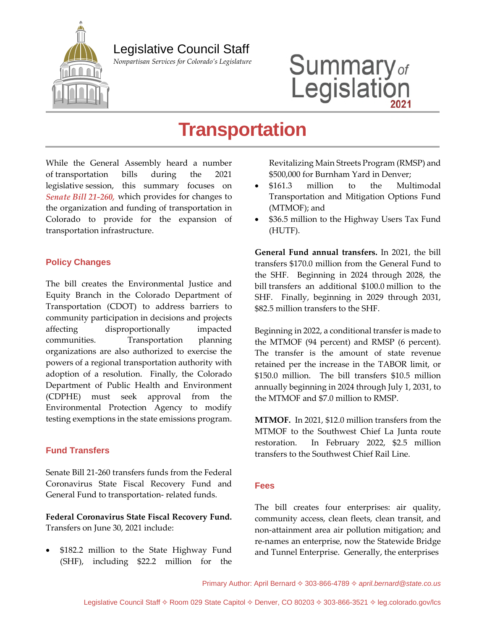Legislative Council Staff

*Nonpartisan Services for Colorado's Legislature*

# Summary<sub>of</sub><br>Legislation

## **Transportation**

While the General Assembly heard a number of transportation bills during the 2021 legislative session, this summary focuses on *Senate Bill 21-260,* which provides for changes to the organization and funding of transportation in Colorado to provide for the expansion of transportation infrastructure.

#### **Policy Changes**

The bill creates the Environmental Justice and Equity Branch in the Colorado Department of Transportation (CDOT) to address barriers to community participation in decisions and projects affecting disproportionally impacted communities. Transportation planning organizations are also authorized to exercise the powers of a regional transportation authority with adoption of a resolution. Finally, the Colorado Department of Public Health and Environment (CDPHE) must seek approval from the Environmental Protection Agency to modify testing exemptions in the state emissions program.

#### **Fund Transfers**

Senate Bill 21-260 transfers funds from the Federal Coronavirus State Fiscal Recovery Fund and General Fund to transportation- related funds.

**Federal Coronavirus State Fiscal Recovery Fund.** Transfers on June 30, 2021 include:

 \$182.2 million to the State Highway Fund (SHF), including \$22.2 million for the Revitalizing Main Streets Program (RMSP) and \$500,000 for Burnham Yard in Denver;

- \$161.3 million to the Multimodal Transportation and Mitigation Options Fund (MTMOF); and
- \$36.5 million to the Highway Users Tax Fund (HUTF).

**General Fund annual transfers.** In 2021, the bill transfers \$170.0 million from the General Fund to the SHF. Beginning in 2024 through 2028, the bill transfers an additional \$100.0 million to the SHF. Finally, beginning in 2029 through 2031, \$82.5 million transfers to the SHF.

Beginning in 2022, a conditional transfer is made to the MTMOF (94 percent) and RMSP (6 percent). The transfer is the amount of state revenue retained per the increase in the TABOR limit, or \$150.0 million. The bill transfers \$10.5 million annually beginning in 2024 through July 1, 2031, to the MTMOF and \$7.0 million to RMSP.

**MTMOF.** In 2021, \$12.0 million transfers from the MTMOF to the Southwest Chief La Junta route restoration. In February 2022, \$2.5 million transfers to the Southwest Chief Rail Line.

#### **Fees**

The bill creates four enterprises: air quality, community access, clean fleets, clean transit, and non-attainment area air pollution mitigation; and re-names an enterprise, now the Statewide Bridge and Tunnel Enterprise. Generally, the enterprises

Primary Author: April Bernard  $\diamond$  303-866-4789  $\diamond$  *april.bernard@state.co.us*